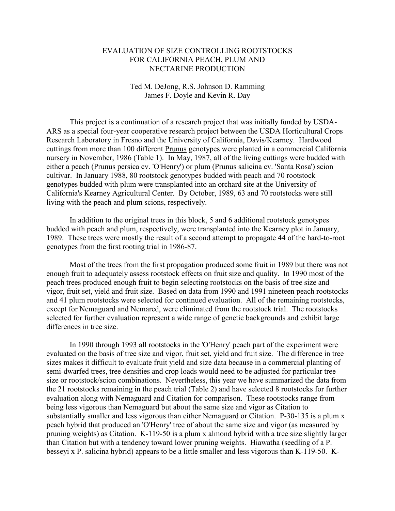## EVALUATION OF SIZE CONTROLLING ROOTSTOCKS FOR CALIFORNIA PEACH, PLUM AND NECTARINE PRODUCTION

## Ted M. DeJong, R.S. Johnson D. Ramming James F. Doyle and Kevin R. Day

 This project is a continuation of a research project that was initially funded by USDA-ARS as a special four-year cooperative research project between the USDA Horticultural Crops Research Laboratory in Fresno and the University of California, Davis/Kearney. Hardwood cuttings from more than 100 different Prunus genotypes were planted in a commercial California nursery in November, 1986 (Table 1). In May, 1987, all of the living cuttings were budded with either a peach (Prunus persica cv. 'O'Henry') or plum (Prunus salicina cv. 'Santa Rosa') scion cultivar. In January 1988, 80 rootstock genotypes budded with peach and 70 rootstock genotypes budded with plum were transplanted into an orchard site at the University of California's Kearney Agricultural Center. By October, 1989, 63 and 70 rootstocks were still living with the peach and plum scions, respectively.

 In addition to the original trees in this block, 5 and 6 additional rootstock genotypes budded with peach and plum, respectively, were transplanted into the Kearney plot in January, 1989. These trees were mostly the result of a second attempt to propagate 44 of the hard-to-root genotypes from the first rooting trial in 1986-87.

 Most of the trees from the first propagation produced some fruit in 1989 but there was not enough fruit to adequately assess rootstock effects on fruit size and quality. In 1990 most of the peach trees produced enough fruit to begin selecting rootstocks on the basis of tree size and vigor, fruit set, yield and fruit size. Based on data from 1990 and 1991 nineteen peach rootstocks and 41 plum rootstocks were selected for continued evaluation. All of the remaining rootstocks, except for Nemaguard and Nemared, were eliminated from the rootstock trial. The rootstocks selected for further evaluation represent a wide range of genetic backgrounds and exhibit large differences in tree size.

 In 1990 through 1993 all rootstocks in the 'O'Henry' peach part of the experiment were evaluated on the basis of tree size and vigor, fruit set, yield and fruit size. The difference in tree sizes makes it difficult to evaluate fruit yield and size data because in a commercial planting of semi-dwarfed trees, tree densities and crop loads would need to be adjusted for particular tree size or rootstock/scion combinations. Nevertheless, this year we have summarized the data from the 21 rootstocks remaining in the peach trial (Table 2) and have selected 8 rootstocks for further evaluation along with Nemaguard and Citation for comparison. These rootstocks range from being less vigorous than Nemaguard but about the same size and vigor as Citation to substantially smaller and less vigorous than either Nemaguard or Citation. P-30-135 is a plum x peach hybrid that produced an 'O'Henry' tree of about the same size and vigor (as measured by pruning weights) as Citation. K-119-50 is a plum x almond hybrid with a tree size slightly larger than Citation but with a tendency toward lower pruning weights. Hiawatha (seedling of a P. besseyi x P. salicina hybrid) appears to be a little smaller and less vigorous than K-119-50. K-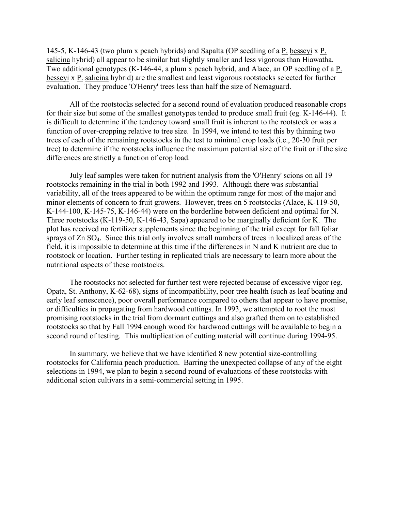145-5, K-146-43 (two plum x peach hybrids) and Sapalta (OP seedling of a P. besseyi x P. salicina hybrid) all appear to be similar but slightly smaller and less vigorous than Hiawatha. Two additional genotypes (K-146-44, a plum x peach hybrid, and Alace, an OP seedling of a P. besseyi x P. salicina hybrid) are the smallest and least vigorous rootstocks selected for further evaluation. They produce 'O'Henry' trees less than half the size of Nemaguard.

 All of the rootstocks selected for a second round of evaluation produced reasonable crops for their size but some of the smallest genotypes tended to produce small fruit (eg. K-146-44). It is difficult to determine if the tendency toward small fruit is inherent to the rootstock or was a function of over-cropping relative to tree size. In 1994, we intend to test this by thinning two trees of each of the remaining rootstocks in the test to minimal crop loads (i.e., 20-30 fruit per tree) to determine if the rootstocks influence the maximum potential size of the fruit or if the size differences are strictly a function of crop load.

 July leaf samples were taken for nutrient analysis from the 'O'Henry' scions on all 19 rootstocks remaining in the trial in both 1992 and 1993. Although there was substantial variability, all of the trees appeared to be within the optimum range for most of the major and minor elements of concern to fruit growers. However, trees on 5 rootstocks (Alace, K-119-50, K-144-100, K-145-75, K-146-44) were on the borderline between deficient and optimal for N. Three rootstocks (K-119-50, K-146-43, Sapa) appeared to be marginally deficient for K. The plot has received no fertilizer supplements since the beginning of the trial except for fall foliar sprays of Zn SO4. Since this trial only involves small numbers of trees in localized areas of the field, it is impossible to determine at this time if the differences in N and K nutrient are due to rootstock or location. Further testing in replicated trials are necessary to learn more about the nutritional aspects of these rootstocks.

 The rootstocks not selected for further test were rejected because of excessive vigor (eg. Opata, St. Anthony, K-62-68), signs of incompatibility, poor tree health (such as leaf boating and early leaf senescence), poor overall performance compared to others that appear to have promise, or difficulties in propagating from hardwood cuttings. In 1993, we attempted to root the most promising rootstocks in the trial from dormant cuttings and also grafted them on to established rootstocks so that by Fall 1994 enough wood for hardwood cuttings will be available to begin a second round of testing. This multiplication of cutting material will continue during 1994-95.

 In summary, we believe that we have identified 8 new potential size-controlling rootstocks for California peach production. Barring the unexpected collapse of any of the eight selections in 1994, we plan to begin a second round of evaluations of these rootstocks with additional scion cultivars in a semi-commercial setting in 1995.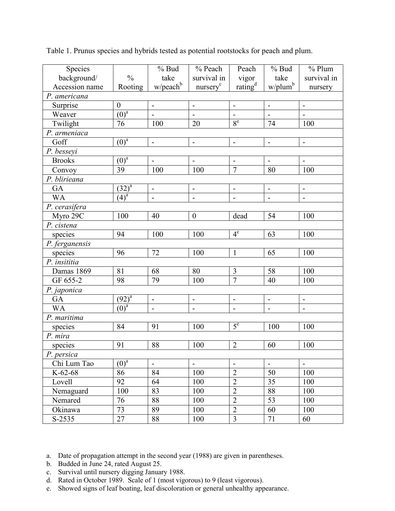| Species        |                       | $%$ Bud                      | % Peach                      | Peach                    | $%$ Bud                                        | $%$ Plum                 |  |  |  |  |
|----------------|-----------------------|------------------------------|------------------------------|--------------------------|------------------------------------------------|--------------------------|--|--|--|--|
| background/    | $\frac{0}{0}$         | take                         | survival in                  | vigor                    | take                                           | survival in              |  |  |  |  |
| Accession name | Rooting               | $w/$ peach $b$               | nursery <sup>c</sup>         | rating <sup>d</sup>      | w/plum <sup>b</sup>                            | nursery                  |  |  |  |  |
| P. americana   |                       |                              |                              |                          |                                                |                          |  |  |  |  |
| Surprise       | $\boldsymbol{0}$      | $\qquad \qquad \blacksquare$ | $\overline{\phantom{a}}$     | $\overline{\phantom{a}}$ | $\blacksquare$                                 | $\overline{\phantom{a}}$ |  |  |  |  |
| Weaver         | $\overline{(0)^a}$    |                              |                              |                          |                                                |                          |  |  |  |  |
| Twilight       | 76                    | 100                          | 20                           | 8 <sup>e</sup>           | 74                                             | 100                      |  |  |  |  |
| P. armeniaca   |                       |                              |                              |                          |                                                |                          |  |  |  |  |
| Goff           | $(0)^a$               | $\overline{\phantom{0}}$     | $\qquad \qquad \blacksquare$ | $\overline{\phantom{a}}$ | $\overline{\phantom{0}}$                       | $\overline{\phantom{0}}$ |  |  |  |  |
| P. besseyi     |                       |                              |                              |                          |                                                |                          |  |  |  |  |
| <b>Brooks</b>  | $\overline{(0)^a}$    | $\overline{a}$               |                              | $\overline{\phantom{0}}$ | $\overline{a}$                                 | $\blacksquare$           |  |  |  |  |
| Convoy         | 39                    | 100                          | 100                          | $\overline{7}$           | 80                                             | 100                      |  |  |  |  |
| P. blirieana   |                       |                              |                              |                          |                                                |                          |  |  |  |  |
| GA             | $(32)^{a}$            | $\overline{a}$               | $\qquad \qquad \blacksquare$ | $\overline{\phantom{a}}$ | $\blacksquare$<br>$\qquad \qquad \blacksquare$ |                          |  |  |  |  |
| <b>WA</b>      | $\overline{(4)^a}$    | $\overline{a}$               | $\frac{1}{2}$                | $\overline{\phantom{a}}$ | $\blacksquare$                                 | $\blacksquare$           |  |  |  |  |
| P. cerasifera  |                       |                              |                              |                          |                                                |                          |  |  |  |  |
| Myro 29C       | 100                   | 40                           | $\boldsymbol{0}$             | dead                     | 54                                             | 100                      |  |  |  |  |
| P. cistena     |                       |                              |                              |                          |                                                |                          |  |  |  |  |
| species        | 94                    | 100                          | 100                          | 4 <sup>e</sup>           | 63                                             | 100                      |  |  |  |  |
| P. ferganensis |                       |                              |                              |                          |                                                |                          |  |  |  |  |
| species        | 96                    | 72                           | 100                          | $\mathbf{1}$             | 65                                             | 100                      |  |  |  |  |
| P. insititia   |                       |                              |                              |                          |                                                |                          |  |  |  |  |
| Damas 1869     | 81                    | 68                           | 80                           | $\mathfrak{Z}$           | 58                                             | 100                      |  |  |  |  |
| GF 655-2       | 98                    | 79                           | 100                          | $\overline{7}$           | 40                                             | 100                      |  |  |  |  |
| P. japonica    |                       |                              |                              |                          |                                                |                          |  |  |  |  |
| GA             | $(92)^{\overline{a}}$ | $\overline{\phantom{0}}$     |                              |                          | $\blacksquare$                                 | $\blacksquare$           |  |  |  |  |
| <b>WA</b>      | $\overline{(0)^a}$    |                              |                              |                          |                                                |                          |  |  |  |  |
| P. maritima    |                       |                              |                              |                          |                                                |                          |  |  |  |  |
| species        | 84                    | 91                           | 100                          | $5^e$                    | 100                                            | 100                      |  |  |  |  |
| P. mira        |                       |                              |                              |                          |                                                |                          |  |  |  |  |
| species        | 91                    | 88                           | 100                          | $\overline{2}$           | 60                                             | 100                      |  |  |  |  |
| P. persica     |                       |                              |                              |                          |                                                |                          |  |  |  |  |
| Chi Lum Tao    | $\overline{(0)^a}$    | $\overline{\phantom{a}}$     | $\blacksquare$               | $\overline{\phantom{a}}$ | $\overline{\phantom{0}}$                       | $\blacksquare$           |  |  |  |  |
| $K-62-68$      | 86                    | 84                           | 100                          | $\overline{2}$           | 50                                             | 100                      |  |  |  |  |
| Lovell         | 92                    | 64                           | 100                          | $\overline{2}$           | 35                                             | 100                      |  |  |  |  |
| Nemaguard      | 100                   | 83                           | 100                          | $\overline{2}$           | 88                                             | 100                      |  |  |  |  |
| Nemared        | 76                    | 88                           | 100                          | $\overline{2}$           | 53                                             | 100                      |  |  |  |  |
| Okinawa        | 73                    | 89                           | 100                          | $\overline{2}$           | 60                                             | 100                      |  |  |  |  |
| S-2535         | $\overline{27}$       | 88                           | 100                          | $\overline{3}$           | $71\,$                                         | 60                       |  |  |  |  |

Table 1. Prunus species and hybrids tested as potential rootstocks for peach and plum.

- b. Budded in June 24, rated August 25.
- c. Survival until nursery digging January 1988.
- d. Rated in October 1989. Scale of 1 (most vigorous) to 9 (least vigorous).
- e. Showed signs of leaf boating, leaf discoloration or general unhealthy appearance.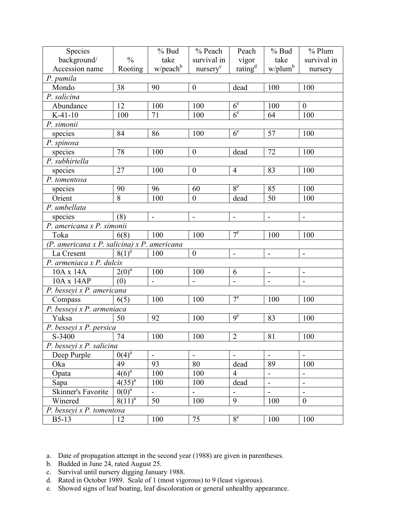| Species                                       |                       | $%$ Bud                  | % Peach                  | Peach                    | $%$ Bud                  | $%$ Plum                 |  |  |  |  |
|-----------------------------------------------|-----------------------|--------------------------|--------------------------|--------------------------|--------------------------|--------------------------|--|--|--|--|
| background/                                   | $\frac{0}{0}$         | take                     | survival in              | vigor                    | take                     | survival in              |  |  |  |  |
| Accession name                                | Rooting               | $w/$ peach <sup>b</sup>  | nursery <sup>c</sup>     | rating <sup>d</sup>      | $w$ /plum <sup>b</sup>   | nursery                  |  |  |  |  |
| P. pumila                                     |                       |                          |                          |                          |                          |                          |  |  |  |  |
| Mondo                                         | 38                    | 90                       | $\boldsymbol{0}$         | dead                     | 100                      | 100                      |  |  |  |  |
| P. salicina                                   |                       |                          |                          | 6 <sup>e</sup>           |                          |                          |  |  |  |  |
| Abundance                                     | 12                    | 100                      | 100                      | 100                      | $\overline{0}$           |                          |  |  |  |  |
| $K-41-10$                                     | 100                   | 71                       | 100                      | 6 <sup>e</sup>           | 64                       | 100                      |  |  |  |  |
| P. simonii                                    |                       |                          |                          |                          |                          |                          |  |  |  |  |
| species                                       | 84                    | 86                       | 100                      | 6 <sup>e</sup>           | 57                       | 100                      |  |  |  |  |
| P. spinosa                                    |                       |                          |                          |                          |                          |                          |  |  |  |  |
| species                                       | 78                    | 100                      | $\boldsymbol{0}$         | dead                     | 72                       | 100                      |  |  |  |  |
| P. subhirtella                                |                       |                          |                          |                          |                          |                          |  |  |  |  |
| species                                       | 27                    | 100                      | $\boldsymbol{0}$         | $\overline{4}$           | 83                       | 100                      |  |  |  |  |
| P. tomentosa                                  |                       |                          |                          |                          |                          |                          |  |  |  |  |
| species                                       | 90                    | 96                       | 60                       | 8 <sup>e</sup>           | 85                       | 100                      |  |  |  |  |
| Orient                                        | $\overline{8}$        | 100                      | $\overline{0}$           | dead                     | 50                       | 100                      |  |  |  |  |
| P. umbellata                                  |                       |                          |                          |                          |                          |                          |  |  |  |  |
| species                                       | (8)                   | $\blacksquare$           | $\blacksquare$           | $\overline{\phantom{a}}$ | $\blacksquare$           | $\blacksquare$           |  |  |  |  |
| P. americana x P. simonii                     |                       |                          |                          |                          |                          |                          |  |  |  |  |
| Toka                                          | 6(8)                  | 100                      | 100                      | $7^e$                    | 100                      | 100                      |  |  |  |  |
| $(P.$ americana x P. salicina) x P. americana |                       |                          |                          |                          |                          |                          |  |  |  |  |
| La Cresent                                    | $8(1)^{a}$            | 100                      | $\boldsymbol{0}$         | $\overline{\phantom{0}}$ | ÷,                       | $\overline{a}$           |  |  |  |  |
| P. armeniaca x P. dulcis                      |                       |                          |                          |                          |                          |                          |  |  |  |  |
| 10A x 14A                                     | $2(0)^{\overline{a}}$ | 100                      | 100                      | 6                        | $\frac{1}{2}$            |                          |  |  |  |  |
| $10A \times 14AP$                             | (0)                   |                          |                          |                          |                          |                          |  |  |  |  |
| P. besseyi x P. americana                     |                       |                          |                          |                          |                          |                          |  |  |  |  |
| Compass                                       | 6(5)                  | 100                      | 100                      | $7^e$                    | 100                      | 100                      |  |  |  |  |
| P. besseyi x P. armeniaca                     |                       |                          |                          |                          |                          |                          |  |  |  |  |
| Yuksa                                         | 50                    | 92                       | 100                      | 83<br>100                |                          |                          |  |  |  |  |
| P. besseyi x P. persica                       |                       |                          |                          |                          |                          |                          |  |  |  |  |
| S-3400                                        | 74                    | 100                      | 100                      | $\overline{2}$           | 81                       | 100                      |  |  |  |  |
| P. besseyi x P. salicina                      |                       |                          |                          |                          |                          |                          |  |  |  |  |
| Deep Purple                                   | $\overline{0(4)^a}$   | $\overline{\phantom{0}}$ | $\overline{\phantom{a}}$ | $\blacksquare$           | $\overline{\phantom{a}}$ | $\blacksquare$           |  |  |  |  |
| Oka                                           | 49                    | 93                       | 80                       | dead                     | 89                       | 100                      |  |  |  |  |
| Opata                                         | $4(6)^a$              | 100                      | 100                      | $\overline{4}$           | $\overline{\phantom{0}}$ | $\overline{\phantom{0}}$ |  |  |  |  |
| Sapa                                          | $4(35)^{a}$           | 100                      | 100                      | dead                     | $\blacksquare$           | $\blacksquare$           |  |  |  |  |
| Skinner's Favorite                            | $0(0)^a$              | $\blacksquare$           | $\overline{\phantom{0}}$ |                          | $\blacksquare$           | $\blacksquare$           |  |  |  |  |
| Winered                                       | $8(11)^{a}$           | 50                       | 100                      | 9                        | 100                      | $\overline{0}$           |  |  |  |  |
| P. besseyi x P. tomentosa                     |                       |                          |                          |                          |                          |                          |  |  |  |  |
| <b>B5-13</b>                                  | 12                    | 100                      | 75                       | 8 <sup>e</sup>           | 100                      | 100                      |  |  |  |  |

- b. Budded in June 24, rated August 25.
- c. Survival until nursery digging January 1988.
- d. Rated in October 1989. Scale of 1 (most vigorous) to 9 (least vigorous).
- e. Showed signs of leaf boating, leaf discoloration or general unhealthy appearance.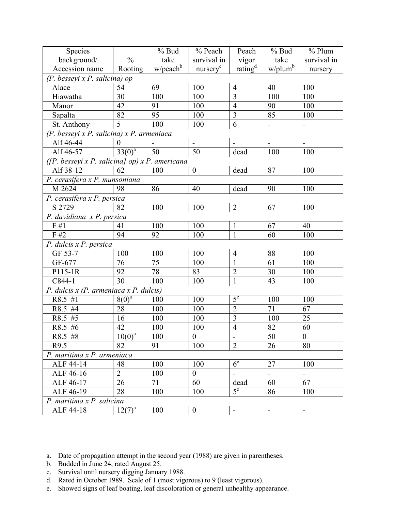| Species                                        |                | $%$ Bud                 | % Peach              | Peach                    | $%$ Bud                  | $%$ Plum         |  |  |  |  |  |
|------------------------------------------------|----------------|-------------------------|----------------------|--------------------------|--------------------------|------------------|--|--|--|--|--|
| background/                                    | $\frac{0}{0}$  | take                    | survival in          | vigor                    | take                     | survival in      |  |  |  |  |  |
| Accession name                                 | Rooting        | $w/$ peach <sup>b</sup> | nurserv <sup>c</sup> | rating <sup>d</sup>      | $w$ /plum <sup>b</sup>   | nursery          |  |  |  |  |  |
| (P. besseyi x P. salicina) op                  |                |                         |                      |                          |                          |                  |  |  |  |  |  |
| Alace                                          | 54             | 69                      | 100                  | $\overline{4}$           | 40                       | 100              |  |  |  |  |  |
| Hiawatha                                       | 30             | 100                     | 100                  | 3                        | 100                      | 100              |  |  |  |  |  |
| Manor                                          | 42             | 91                      | 100                  | $\overline{4}$           | 90                       | 100              |  |  |  |  |  |
| Sapalta                                        | 82             | 95                      | 100                  | $\overline{\mathbf{3}}$  | $\overline{85}$          | 100              |  |  |  |  |  |
| St. Anthony                                    | 5              | 100                     | 100                  | $\overline{6}$           | $\frac{1}{2}$            | $\blacksquare$   |  |  |  |  |  |
| (P. besseyi x P. salicina) x P. armeniaca      |                |                         |                      |                          |                          |                  |  |  |  |  |  |
| Alf 46-44                                      | $\Omega$       |                         |                      |                          | $\blacksquare$           |                  |  |  |  |  |  |
| Alf 46-57                                      | $33(0)^{a}$    | 50                      | 50                   | dead                     | 100                      |                  |  |  |  |  |  |
| ([P. besseyi x P. salicina] op) x P. americana |                |                         |                      |                          |                          |                  |  |  |  |  |  |
| Alf 38-12                                      | 62             | 100                     | $\boldsymbol{0}$     | dead                     | 87                       | 100              |  |  |  |  |  |
| $\overline{P}$ . cerasifera x P. munsoniana    |                |                         |                      |                          |                          |                  |  |  |  |  |  |
| M 2624                                         | 98             | 86                      | 40                   | dead                     | 90                       | 100              |  |  |  |  |  |
| P. cerasifera x P. persica                     |                |                         |                      |                          |                          |                  |  |  |  |  |  |
| S 2729                                         | 82             | 100                     | 100                  | 67                       | 100                      |                  |  |  |  |  |  |
| P. davidiana x P. persica                      |                |                         |                      | $\overline{2}$           |                          |                  |  |  |  |  |  |
| F#1                                            | 41             | 100                     | 100                  | $\mathbf{1}$             | 67                       | 40               |  |  |  |  |  |
| F#2                                            | 94             | 92                      | 100                  | $\mathbf{1}$             | 60                       | $\overline{1}00$ |  |  |  |  |  |
| $\overline{P}$ . dulcis x P. persica           |                |                         |                      |                          |                          |                  |  |  |  |  |  |
| GF 53-7                                        | 100            | 100                     | 100                  | $\overline{4}$           | 88                       | 100              |  |  |  |  |  |
| GF-677                                         | 76             | 75                      | 100                  | $\mathbf{1}$             | 61                       | 100              |  |  |  |  |  |
| P115-1R                                        | 92             | 78                      | 83                   | $\overline{2}$           | 30                       | 100              |  |  |  |  |  |
| C844-1                                         | 30             | 100                     | 100                  | $\mathbf{1}$             | 43<br>100                |                  |  |  |  |  |  |
| P. dulcis $x$ (P. armeniaca $x$ P. dulcis)     |                |                         |                      |                          |                          |                  |  |  |  |  |  |
| R8.5 #1                                        | $8(0)^a$       | 100                     | 100                  | 5 <sup>e</sup>           | 100                      | 100              |  |  |  |  |  |
| R8.5 #4                                        | 28             | 100                     | 100                  | $\overline{2}$           | 71                       | 67               |  |  |  |  |  |
| R8.5 #5                                        | 16             | 100                     | 100                  | $\overline{\mathbf{3}}$  | 100                      | 25               |  |  |  |  |  |
| R8.5 #6                                        | 42             | 100                     | 100                  | $\overline{4}$           | 82                       | 60               |  |  |  |  |  |
| $R8.5$ #8                                      | $10(0)^{a}$    | 100                     | $\overline{0}$       | $\overline{\phantom{a}}$ | 50                       | $\boldsymbol{0}$ |  |  |  |  |  |
| R9.5                                           | 82             | 91                      | 100                  | $\overline{2}$           | 26                       | 80               |  |  |  |  |  |
| P. maritima x P. armeniaca                     |                |                         |                      |                          |                          |                  |  |  |  |  |  |
| ALF 44-14                                      | 48             | 100                     | 100                  | 6 <sup>e</sup>           | 27                       | 100              |  |  |  |  |  |
| ALF 46-16                                      | $\overline{2}$ | 100                     | $\overline{0}$       |                          | $\blacksquare$           | $\overline{a}$   |  |  |  |  |  |
| ALF 46-17                                      | 26             | 71                      | 60                   | dead                     | 60                       | 67               |  |  |  |  |  |
| ALF 46-19                                      | 28             | 100                     | 100                  | $5^e$                    | 86                       | 100              |  |  |  |  |  |
| P. maritima x P. salicina                      |                |                         |                      |                          |                          |                  |  |  |  |  |  |
| ALF 44-18                                      | $12(7)^{a}$    | 100                     | $\boldsymbol{0}$     | $\blacksquare$           | $\overline{\phantom{a}}$ | $\blacksquare$   |  |  |  |  |  |

- b. Budded in June 24, rated August 25.
- c. Survival until nursery digging January 1988.
- d. Rated in October 1989. Scale of 1 (most vigorous) to 9 (least vigorous).
- e. Showed signs of leaf boating, leaf discoloration or general unhealthy appearance.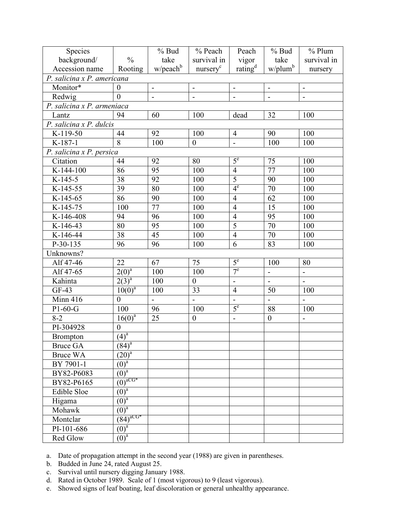| Species                    |                                      | $%$ Bud         | % Peach                      | Peach                    | $%$ Bud                  | $%$ Plum       |  |  |  |  |  |
|----------------------------|--------------------------------------|-----------------|------------------------------|--------------------------|--------------------------|----------------|--|--|--|--|--|
| background/                | $\frac{0}{0}$                        | take            | survival in                  | vigor                    | take                     | survival in    |  |  |  |  |  |
| Accession name             | Rooting                              | $w/$ peach $b$  | nursery <sup>c</sup>         | rating <sup>d</sup>      | w/plum <sup>b</sup>      | nursery        |  |  |  |  |  |
| P. salicina x P. americana |                                      |                 |                              |                          |                          |                |  |  |  |  |  |
| Monitor*                   | $\theta$                             | $\overline{a}$  | $\qquad \qquad -$            | $\frac{1}{2}$            | $\overline{\phantom{a}}$ | $\blacksquare$ |  |  |  |  |  |
| Redwig                     | $\theta$                             | $\overline{a}$  | $\qquad \qquad \blacksquare$ | $\blacksquare$           | $\overline{a}$           | ÷,             |  |  |  |  |  |
| P. salicina x P. armeniaca |                                      |                 |                              |                          |                          |                |  |  |  |  |  |
| Lantz                      | 94                                   | 60              | 100                          | dead                     | 32                       | 100            |  |  |  |  |  |
| P. salicina x P. dulcis    |                                      |                 |                              |                          |                          |                |  |  |  |  |  |
| K-119-50                   | 44                                   | 92              | 100                          | $\overline{4}$           | 90                       | 100            |  |  |  |  |  |
| K-187-1                    | 8                                    | 100             | $\boldsymbol{0}$             | $\overline{\phantom{0}}$ | 100                      | 100            |  |  |  |  |  |
| P. salicina x P. persica   |                                      |                 |                              |                          |                          |                |  |  |  |  |  |
| Citation                   | 44                                   | 92              | 80                           | 5 <sup>e</sup>           | 75                       | 100            |  |  |  |  |  |
| K-144-100                  | 86                                   | 95              | 100                          | $\overline{4}$           | 77                       | 100            |  |  |  |  |  |
| K-145-5                    | 38                                   | 92              | 100                          | $\overline{5}$           | 90                       | 100            |  |  |  |  |  |
| $K-145-55$                 | 39                                   | 80              | 100                          | $4^e$                    | 70                       | 100            |  |  |  |  |  |
| K-145-65                   | 86                                   | 90              | 100                          | $\overline{4}$           | 62                       | 100            |  |  |  |  |  |
| K-145-75                   | 100                                  | 77              | 15                           | 100                      |                          |                |  |  |  |  |  |
| K-146-408                  | 94                                   | 96              | 100                          | $\overline{4}$           | 95                       | 100            |  |  |  |  |  |
| K-146-43                   | 80                                   | 95              | 100                          | 5                        | 70                       | 100            |  |  |  |  |  |
| K-146-44                   | 38                                   | $\overline{45}$ | 100                          | $\overline{4}$           | 70                       | 100            |  |  |  |  |  |
| $P-30-135$                 | 96                                   | 96              | 100                          | 6                        | 83                       | 100            |  |  |  |  |  |
| Unknowns?                  |                                      |                 |                              |                          |                          |                |  |  |  |  |  |
| Alf 47-46                  | 22                                   | 67              | 75                           | 5 <sup>e</sup>           | 100                      | 80             |  |  |  |  |  |
| Alf 47-65                  | $2(0)^a$                             | 100             | 100                          | $7^e$                    | $\overline{a}$           | $\overline{a}$ |  |  |  |  |  |
| Kahinta                    | $\frac{2(3)^a}{a^a}$                 | 100             | $\boldsymbol{0}$             | $\overline{a}$           | $\overline{a}$           | $\overline{a}$ |  |  |  |  |  |
| $GF-43$                    | $\frac{10(0)^a}{a}$                  | 100             | 33                           | $\overline{4}$           | 50                       | 100            |  |  |  |  |  |
| Minn 416                   | $\overline{0}$                       | $\blacksquare$  | $\overline{a}$               |                          | $\blacksquare$           | $\overline{a}$ |  |  |  |  |  |
| $P1-60-G$                  | 100                                  | 96              | 100                          | $5^e$                    | 88                       | 100            |  |  |  |  |  |
| $8 - 2$                    | $16(0)^{a}$                          | 25              | $\mathbf{0}$                 | $\overline{a}$           | $\boldsymbol{0}$         | $\overline{a}$ |  |  |  |  |  |
| PI-304928                  | $\overline{0}$                       |                 |                              |                          |                          |                |  |  |  |  |  |
| <b>Brompton</b>            | $(4)^a$                              |                 |                              |                          |                          |                |  |  |  |  |  |
| Bruce GA                   | $(84)^{a}$                           |                 |                              |                          |                          |                |  |  |  |  |  |
| <b>Bruce WA</b>            | $(20)^{a}$                           |                 |                              |                          |                          |                |  |  |  |  |  |
| BY 7901-1                  | $(0)^a$                              |                 |                              |                          |                          |                |  |  |  |  |  |
| BY82-P6083                 | $\overline{(0)^a}$                   |                 |                              |                          |                          |                |  |  |  |  |  |
| BY82-P6165                 | $\overrightarrow{(0)}^{\text{aCG*}}$ |                 |                              |                          |                          |                |  |  |  |  |  |
| Edible Sloe                | $\overline{(0)^a}$                   |                 |                              |                          |                          |                |  |  |  |  |  |
| Higama                     | $(0)^a$                              |                 |                              |                          |                          |                |  |  |  |  |  |
| Mohawk                     | $\overline{(0)^a}$                   |                 |                              |                          |                          |                |  |  |  |  |  |
| Montclar                   | $\overline{(84)^{aCG^*}}$            |                 |                              |                          |                          |                |  |  |  |  |  |
| PI-101-686                 | $\overline{(0)^a}$                   |                 |                              |                          |                          |                |  |  |  |  |  |
| Red Glow                   | $\overline{(0)^a}$                   |                 |                              |                          |                          |                |  |  |  |  |  |

- b. Budded in June 24, rated August 25.
- c. Survival until nursery digging January 1988.
- d. Rated in October 1989. Scale of 1 (most vigorous) to 9 (least vigorous).
- e. Showed signs of leaf boating, leaf discoloration or general unhealthy appearance.